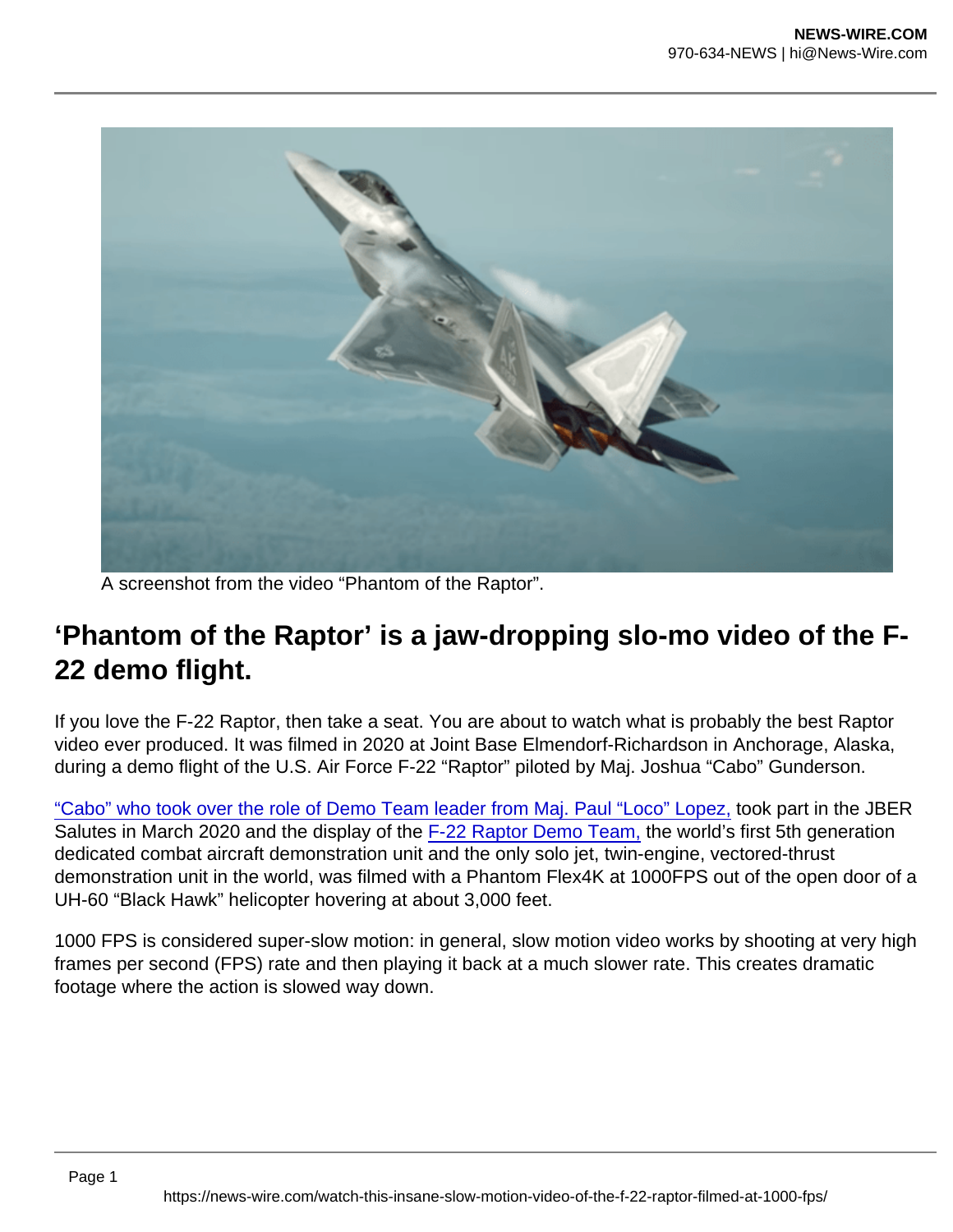A screenshot from the video "Phantom of the Raptor".

## 'Phantom of the Raptor' is a jaw-dropping slo-mo video of the F-22 demo flight.

If you love the F-22 Raptor, then take a seat. You are about to watch what is probably the best Raptor video ever produced. It was filmed in 2020 at Joint Base Elmendorf-Richardson in Anchorage, Alaska, during a demo flight of the U.S. Air Force F-22 "Raptor" piloted by Maj. Joshua "Cabo" Gunderson.

["Cabo" who took over the role of Demo Team leader from Maj. Paul "Loco" Lopez,](https://theaviationist.com/2020/01/22/from-loco-to-cabo-meet-the-air-forces-new-2020-f-22-raptor-demo-team-pilot/) took part in the JBER Salutes in March 2020 and the display of the [F-22 Raptor Demo Team,](https://theaviationist.com/2019/08/23/usaf-f-22-demo-team-vs-russian-su-57-demo-which-airshow-demo-is-best/) the world's first 5th generation dedicated combat aircraft demonstration unit and the only solo jet, twin-engine, vectored-thrust demonstration unit in the world, was filmed with a Phantom Flex4K at 1000FPS out of the open door of a UH-60 "Black Hawk" helicopter hovering at about 3,000 feet.

1000 FPS is considered super-slow motion: in general, slow motion video works by shooting at very high frames per second (FPS) rate and then playing it back at a much slower rate. This creates dramatic footage where the action is slowed way down.